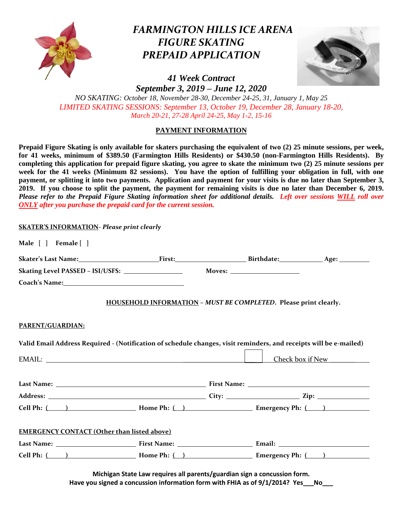

# *FARMINGTON HILLS ICE ARENA FIGURE SKATING PREPAID APPLICATION*



## *41 Week Contract September 3, 2019 – June 12, 2020*

*NO SKATING: October 18, November 28-30, December 24-25, 31, January 1, May 25 LIMITED SKATING SESSIONS: September 13, October 19, December 28, January 18-20, March 20-21, 27-28 April 24-25, May 1-2, 15-16*

### **PAYMENT INFORMATION**

**Prepaid Figure Skating is only available for skaters purchasing the equivalent of two (2) 25 minute sessions, per week, for 41 weeks, minimum of \$389.50 (Farmington Hills Residents) or \$430.50 (non-Farmington Hills Residents). By completing this application for prepaid figure skating, you agree to skate the minimum two (2) 25 minute sessions per week for the 41 weeks (Minimum 82 sessions). You have the option of fulfilling your obligation in full, with one payment, or splitting it into two payments. Application and payment for your visits is due no later than September 3, 2019. If you choose to split the payment, the payment for remaining visits is due no later than December 6, 2019.**  *Please refer to the Prepaid Figure Skating information sheet for additional details. Left over sessions WILL roll over ONLY after you purchase the prepaid card for the current session.*

| Skating Level PASSED - ISI/USFS:                                                                                                                                                                                               |  |  |
|--------------------------------------------------------------------------------------------------------------------------------------------------------------------------------------------------------------------------------|--|--|
| Coach's Name: 2008 and 2008 and 2008 and 2008 and 2008 and 2008 and 2008 and 2008 and 2008 and 2008 and 2008 and 2008 and 2008 and 2008 and 2008 and 2008 and 2008 and 2008 and 2008 and 2008 and 2008 and 2008 and 2008 and 2 |  |  |

#### **PARENT/GUARDIAN:**

| Valid Email Address Required - (Notification of schedule changes, visit reminders, and receipts will be e-mailed) |  |                  |
|-------------------------------------------------------------------------------------------------------------------|--|------------------|
|                                                                                                                   |  | Check box if New |
|                                                                                                                   |  |                  |
|                                                                                                                   |  |                  |
|                                                                                                                   |  |                  |
| <b>EMERGENCY CONTACT (Other than listed above)</b>                                                                |  |                  |

**Michigan State Law requires all parents/guardian sign a concussion form. Have you signed a concussion information form with FHIA as of 9/1/2014? Yes\_\_\_No\_\_\_**